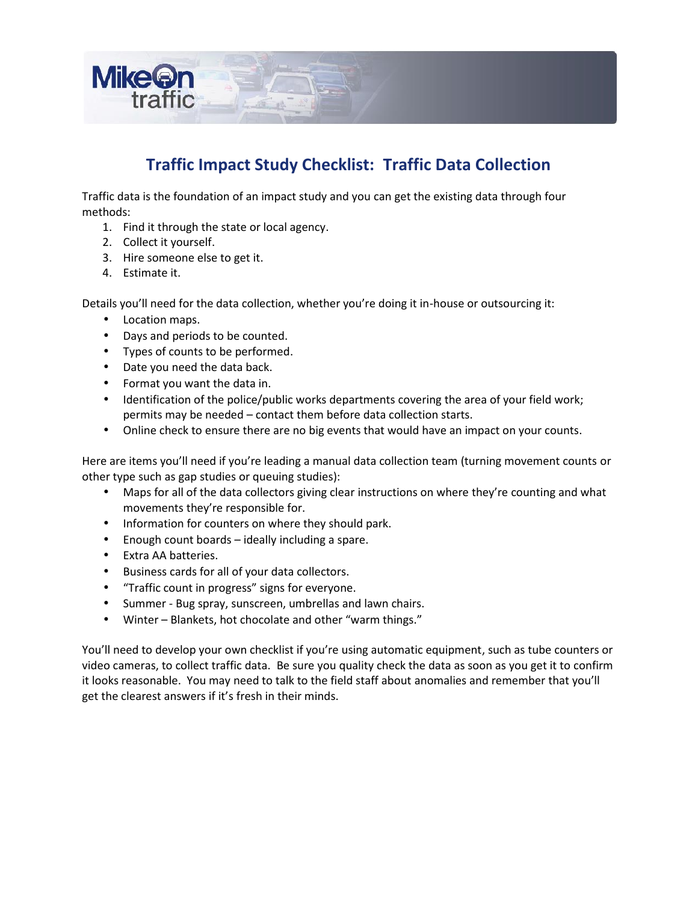

# **Traffic Impact Study Checklist: Traffic Data Collection**

Traffic data is the foundation of an impact study and you can get the existing data through four methods:

- 1. Find it through the state or local agency.
- 2. Collect it yourself.
- 3. Hire someone else to get it.
- 4. Estimate it.

Details you'll need for the data collection, whether you're doing it in-house or outsourcing it:

- Location maps.
- Days and periods to be counted.
- Types of counts to be performed.
- Date you need the data back.
- Format you want the data in.
- Identification of the police/public works departments covering the area of your field work; permits may be needed – contact them before data collection starts.
- Online check to ensure there are no big events that would have an impact on your counts.

Here are items you'll need if you're leading a manual data collection team (turning movement counts or other type such as gap studies or queuing studies):

- Maps for all of the data collectors giving clear instructions on where they're counting and what movements they're responsible for.
- Information for counters on where they should park.
- $\bullet$  Enough count boards ideally including a spare.
- Extra AA batteries.
- Business cards for all of your data collectors.
- "Traffic count in progress" signs for everyone.
- Summer Bug spray, sunscreen, umbrellas and lawn chairs.
- Winter Blankets, hot chocolate and other "warm things."

You'll need to develop your own checklist if you're using automatic equipment, such as tube counters or video cameras, to collect traffic data. Be sure you quality check the data as soon as you get it to confirm it looks reasonable. You may need to talk to the field staff about anomalies and remember that you'll get the clearest answers if it's fresh in their minds.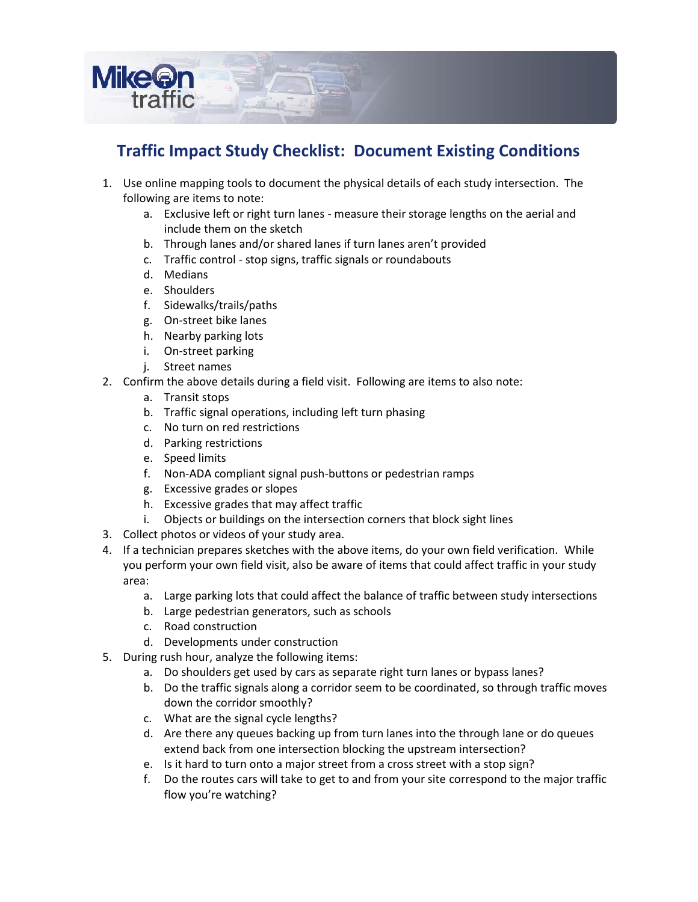

#### **Traffic Impact Study Checklist: Document Existing Conditions**

- 1. Use online mapping tools to document the physical details of each study intersection. The following are items to note:
	- a. Exclusive left or right turn lanes measure their storage lengths on the aerial and include them on the sketch
	- b. Through lanes and/or shared lanes if turn lanes aren't provided
	- c. Traffic control stop signs, traffic signals or roundabouts
	- d. Medians
	- e. Shoulders
	- f. Sidewalks/trails/paths
	- g. On-street bike lanes
	- h. Nearby parking lots
	- i. On-street parking
	- j. Street names
- 2. Confirm the above details during a field visit. Following are items to also note:
	- a. Transit stops
	- b. Traffic signal operations, including left turn phasing
	- c. No turn on red restrictions
	- d. Parking restrictions
	- e. Speed limits
	- f. Non-ADA compliant signal push-buttons or pedestrian ramps
	- g. Excessive grades or slopes
	- h. Excessive grades that may affect traffic
	- i. Objects or buildings on the intersection corners that block sight lines
- 3. Collect photos or videos of your study area.
- 4. If a technician prepares sketches with the above items, do your own field verification. While you perform your own field visit, also be aware of items that could affect traffic in your study area:
	- a. Large parking lots that could affect the balance of traffic between study intersections
	- b. Large pedestrian generators, such as schools
	- c. Road construction
	- d. Developments under construction
- 5. During rush hour, analyze the following items:
	- a. Do shoulders get used by cars as separate right turn lanes or bypass lanes?
	- b. Do the traffic signals along a corridor seem to be coordinated, so through traffic moves down the corridor smoothly?
	- c. What are the signal cycle lengths?
	- d. Are there any queues backing up from turn lanes into the through lane ordo queues extend back from one intersection blocking the upstream intersection?
	- e. Is it hard to turn onto a major street from a cross street with a stop sign?
	- f. Do the routes cars will take to get to and from your site correspond to the major traffic flow you're watching?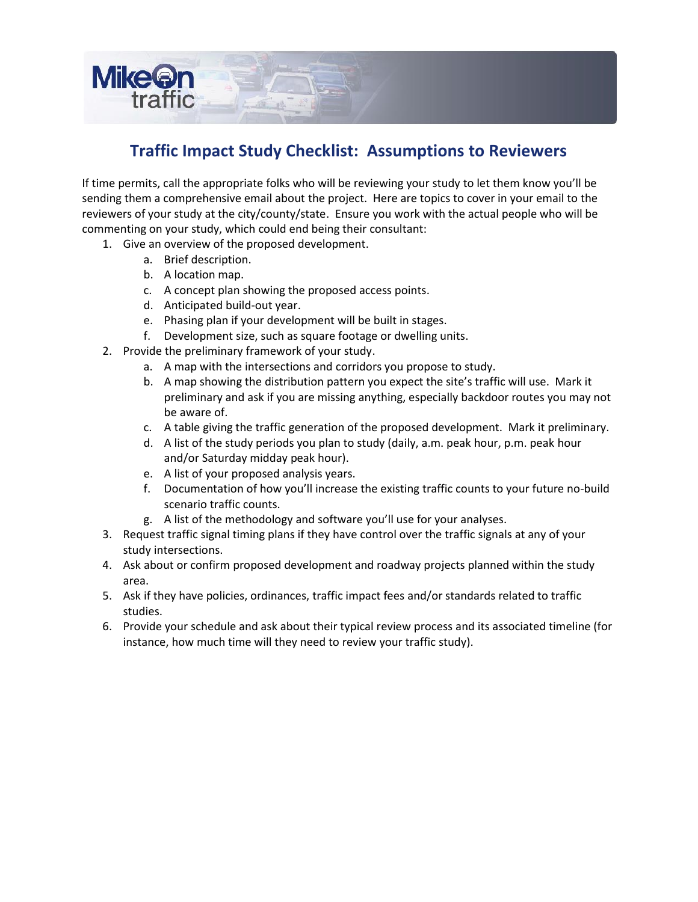

#### **Traffic Impact Study Checklist: Assumptions to Reviewers**

If time permits, call the appropriate folks who will be reviewing your study to let them know you'll be sending them a comprehensive email about the project. Here are topics to cover in your email to the reviewers of your study at the city/county/state. Ensure you work with the actual people who will be commenting on your study, which could end being their consultant:

- 1. Give an overview of the proposed development.
	- a. Brief description.
	- b. A location map.
	- c. A concept plan showing the proposed access points.
	- d. Anticipated build-out year.
	- e. Phasing plan if your development will be built in stages.
	- f. Development size, such as square footage or dwelling units.
- 2. Provide the preliminary framework of your study.
	- a. A map with the intersections and corridors you propose to study.
	- b. A map showing the distribution pattern you expect the site's traffic will use. Mark it preliminary and ask if you are missing anything, especially backdoor routes you may not be aware of.
	- c. A table giving the traffic generation of the proposed development. Mark it preliminary.
	- d. A list of the study periods you plan to study (daily, a.m. peak hour, p.m. peak hour and/or Saturday midday peak hour).
	- e. A list of your proposed analysis years.
	- f. Documentation of how you'll increase the existing traffic counts to your future no-build scenario traffic counts.
	- g. A list of the methodology and software you'll use for your analyses.
- 3. Request traffic signal timing plans if they have control over the traffic signals at any of your study intersections.
- 4. Ask about or confirm proposed development and roadway projects planned within the study area.
- 5. Ask if they have policies, ordinances, traffic impact fees and/or standards related to traffic studies.
- 6. Provide your schedule and ask about their typical review process and its associated timeline (for instance, how much time will they need to review your traffic study).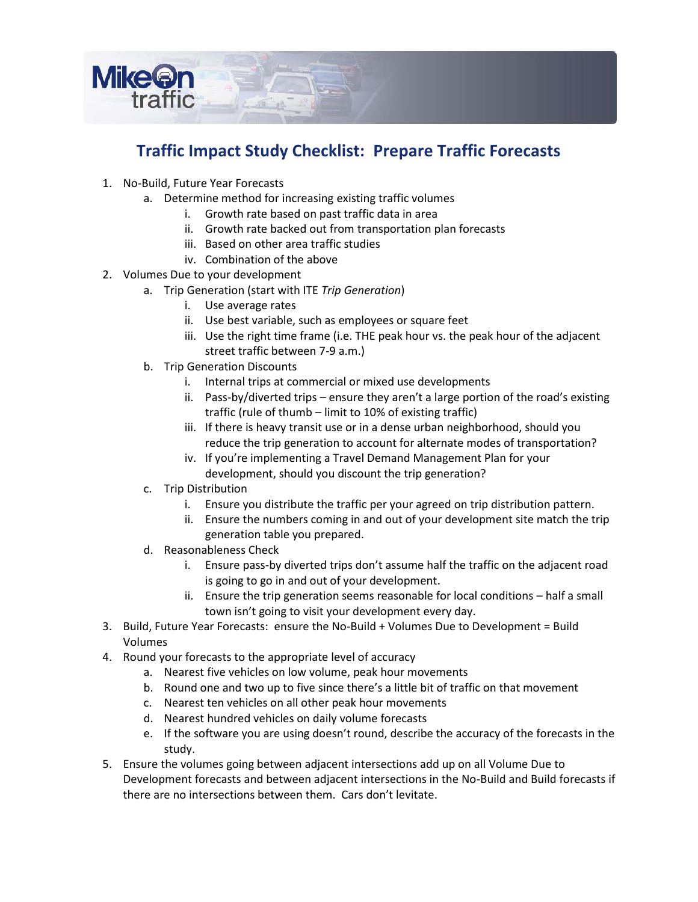

### **Traffic Impact Study Checklist: Prepare Traffic Forecasts**

- 1. No-Build, Future Year Forecasts
	- a. Determine method for increasing existing traffic volumes
		- i. Growth rate based on past traffic data in area
		- ii. Growth rate backed out from transportation plan forecasts
		- iii. Based on other area traffic studies
		- iv. Combination of the above
- 2. Volumes Due to your development
	- a. Trip Generation (start with ITE *Trip Generation*)
		- i. Use average rates
		- ii. Use best variable, such as employees or square feet
		- iii. Use the right time frame (i.e. THE peak hour vs. the peak hour of the adjacent street traffic between 7-9 a.m.)
	- b. Trip Generation Discounts
		- i. Internal trips at commercial or mixed use developments
		- ii. Pass-by/diverted trips ensure they aren't a large portion of the road's existing traffic (rule of thumb – limit to 10% of existing traffic)
		- iii. If there is heavy transit use or in a dense urban neighborhood, should you reduce the trip generation to account for alternate modes of transportation?
		- iv. If you're implementing a Travel Demand Management Plan for your development, should you discount the trip generation?
	- c. Trip Distribution
		- i. Ensure you distribute the traffic per your agreed on trip distribution pattern.
		- ii. Ensure the numbers coming in and out of your development site match the trip generation table you prepared.
	- d. Reasonableness Check
		- i. Ensure pass-by diverted trips don't assume half the traffic on the adjacent road is going to go in and out of your development.
		- ii. Ensure the trip generation seems reasonable for local conditions half a small town isn't going to visit your development every day.
- 3. Build, Future Year Forecasts: ensure the No-Build + Volumes Due to Development = Build Volumes
- 4. Round your forecasts to the appropriate level of accuracy
	- a. Nearest five vehicles on low volume, peak hour movements
	- b. Round one and two up to five since there's a little bit of traffic on that movement
	- c. Nearest ten vehicles on all other peak hour movements
	- d. Nearest hundred vehicles on daily volume forecasts
	- e. If the software you are using doesn't round, describe the accuracy of the forecasts in the study.
- 5. Ensure the volumes going between adjacent intersections add up on all Volume Due to Development forecasts and between adjacent intersections in the No-Build and Build forecasts if there are no intersections between them. Cars don't levitate.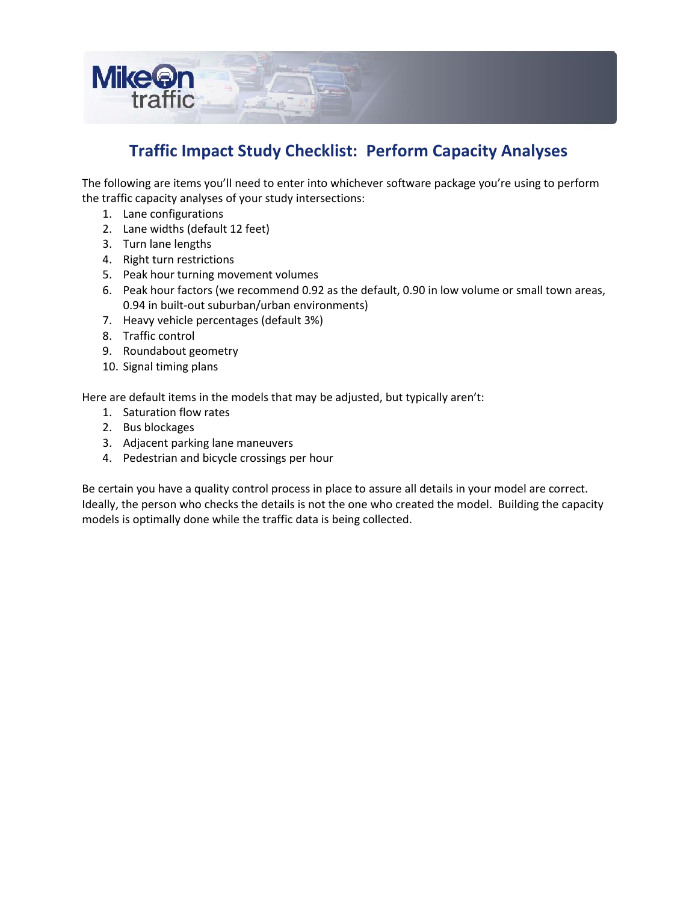

### **Traffic Impact Study Checklist: Perform Capacity Analyses**

The following are items you'll need to enter into whichever software package you're using to perform the traffic capacity analyses of your study intersections:

- 1. Lane configurations
- 2. Lane widths (default 12 feet)
- 3. Turn lane lengths
- 4. Right turn restrictions
- 5. Peak hour turning movement volumes
- 6. Peak hour factors (we recommend 0.92 as the default, 0.90 in low volume or small town areas, 0.94 in built-out suburban/urban environments)
- 7. Heavy vehicle percentages (default 3%)
- 8. Traffic control
- 9. Roundabout geometry
- 10. Signal timing plans

Here are default items in the models that may be adjusted, but typically aren't:

- 1. Saturation flow rates
- 2. Bus blockages
- 3. Adjacent parking lane maneuvers
- 4. Pedestrian and bicycle crossings per hour

Be certain you have a quality control process in place to assure all details in your model are correct. Ideally, the person who checks the details is not the one who created the model. Building the capacity models is optimally done while the traffic data is being collected.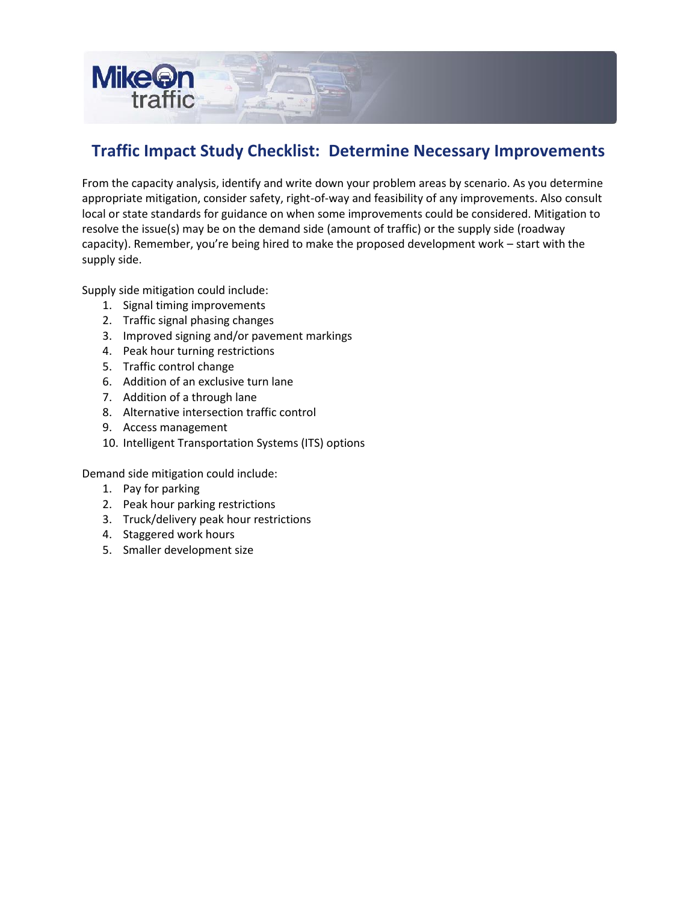

#### **Traffic Impact Study Checklist: Determine Necessary Improvements**

From the capacity analysis, identify and write down your problem areas by scenario. As you determine appropriate mitigation, consider safety, right-of-way and feasibility of any improvements. Also consult local or state standards for guidance on when some improvements could be considered. Mitigation to resolve the issue(s) may be on the demand side (amount of traffic) or the supply side (roadway capacity). Remember, you're being hired to make the proposed development work – start with the supply side.

Supply side mitigation could include:

- 1. Signal timing improvements
- 2. Traffic signal phasing changes
- 3. Improved signing and/or pavement markings
- 4. Peak hour turning restrictions
- 5. Traffic control change
- 6. Addition of an exclusive turn lane
- 7. Addition of a through lane
- 8. Alternative intersection traffic control
- 9. Access management
- 10. Intelligent Transportation Systems (ITS) options

Demand side mitigation could include:

- 1. Pay for parking
- 2. Peak hour parking restrictions
- 3. Truck/delivery peak hour restrictions
- 4. Staggered work hours
- 5. Smaller development size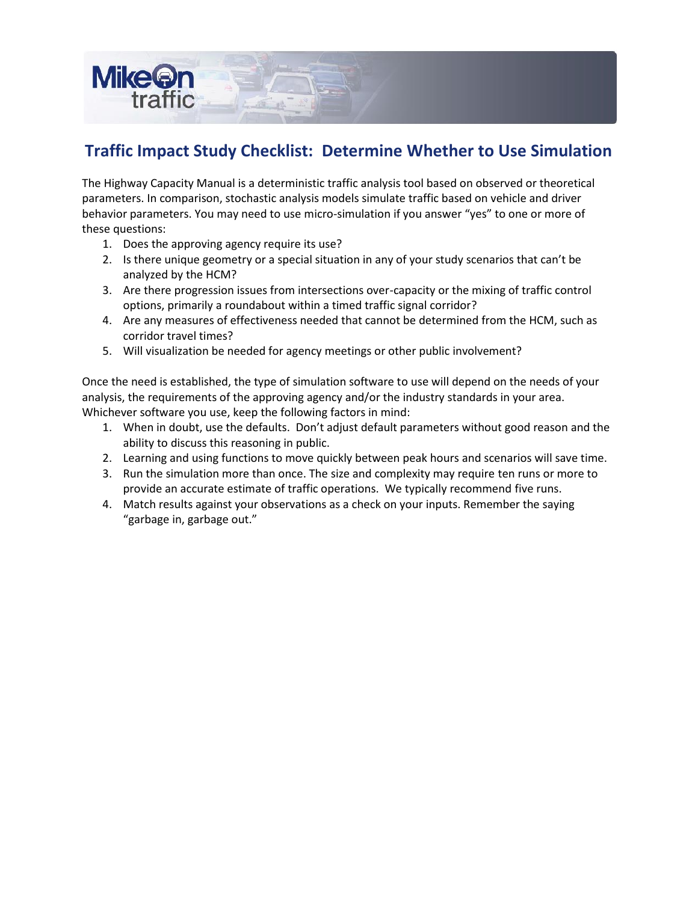

#### **Traffic Impact Study Checklist: Determine Whether to Use Simulation**

The Highway Capacity Manual is a deterministic traffic analysis tool based on observed or theoretical parameters. In comparison, stochastic analysis models simulate traffic based on vehicle and driver behavior parameters. You may need to use micro-simulation if you answer "yes" to one or more of these questions:

- 1. Does the approving agency require its use?
- 2. Is there unique geometry or a special situation in any of your study scenarios that can't be analyzed by the HCM?
- 3. Are there progression issues from intersections over-capacity or the mixing of traffic control options, primarily a roundabout within a timed traffic signal corridor?
- 4. Are any measures of effectiveness needed that cannot be determined from the HCM, such as corridor travel times?
- 5. Will visualization be needed for agency meetings or other public involvement?

Once the need is established, the type of simulation software to use will depend on the needs of your analysis, the requirements of the approving agency and/or the industry standards in your area. Whichever software you use, keep the following factors in mind:

- 1. When in doubt, use the defaults. Don't adjust default parameters without good reason and the ability to discuss this reasoning in public.
- 2. Learning and using functions to move quickly between peak hours and scenarios will save time.
- 3. Run the simulation more than once. The size and complexity may require ten runs or more to provide an accurate estimate of traffic operations. We typically recommend five runs.
- 4. Match results against your observations as a check on your inputs. Remember the saying "garbage in, garbage out."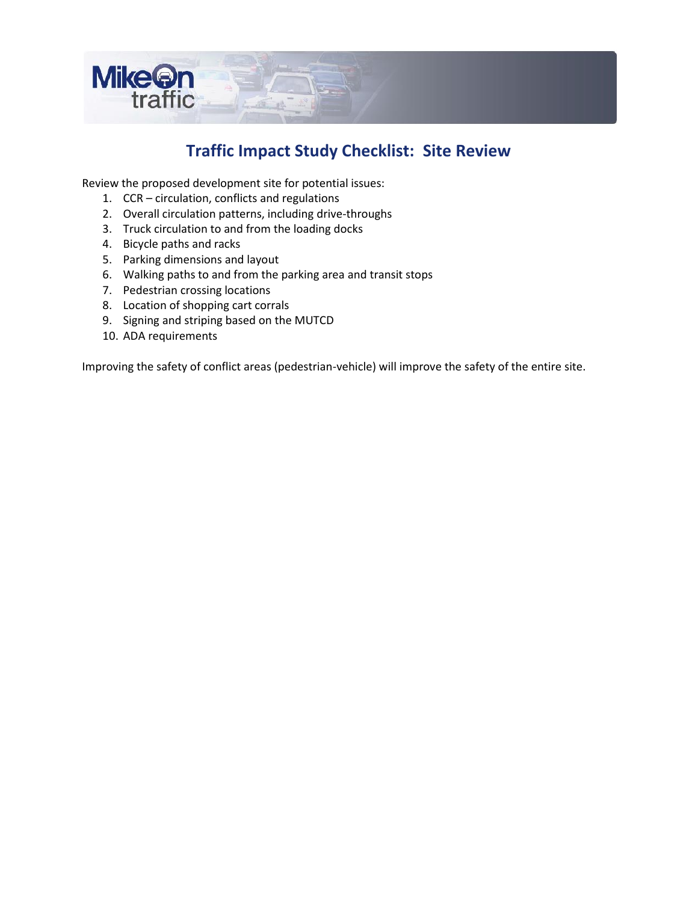

#### **Traffic Impact Study Checklist: Site Review**

Review the proposed development site for potential issues:

- 1. CCR circulation, conflicts and regulations
- 2. Overall circulation patterns, including drive-throughs
- 3. Truck circulation to and from the loading docks
- 4. Bicycle paths and racks
- 5. Parking dimensions and layout
- 6. Walking paths to and from the parking area and transit stops
- 7. Pedestrian crossing locations
- 8. Location of shopping cart corrals
- 9. Signing and striping based on the MUTCD
- 10. ADA requirements

Improving the safety of conflict areas (pedestrian-vehicle) will improve the safety of the entire site.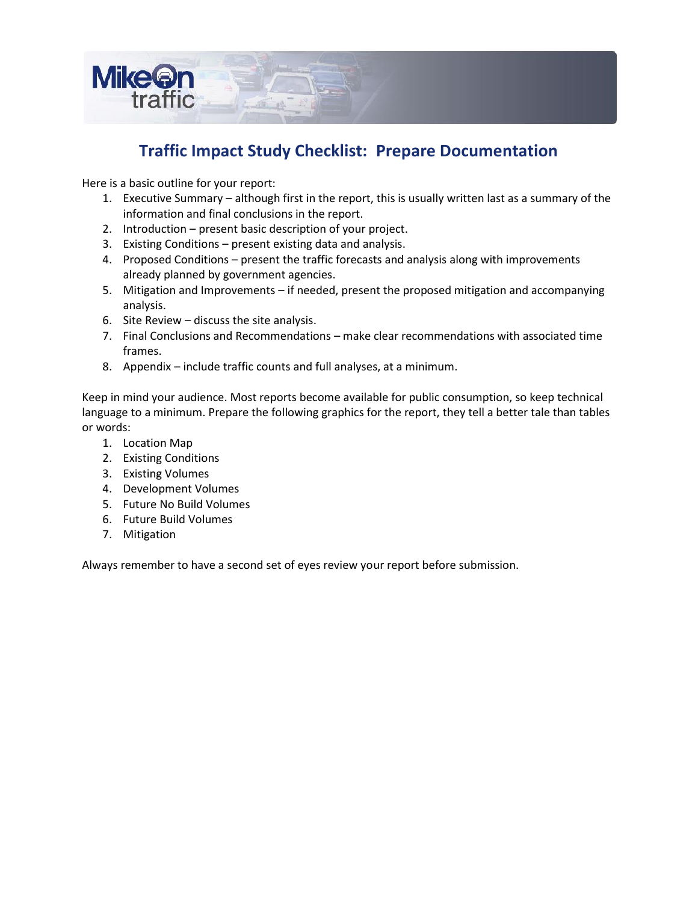

#### **Traffic Impact Study Checklist: Prepare Documentation**

Here is a basic outline for your report:

- 1. Executive Summary although first in the report, this is usually written last as a summary of the information and final conclusions in the report.
- 2. Introduction present basic description of your project.
- 3. Existing Conditions present existing data and analysis.
- 4. Proposed Conditions present the traffic forecasts and analysis along with improvements already planned by government agencies.
- 5. Mitigation and Improvements if needed, present the proposed mitigation and accompanying analysis.
- 6. Site Review discuss the site analysis.
- 7. Final Conclusions and Recommendations make clear recommendations with associated time frames.
- 8. Appendix include traffic counts and full analyses, at a minimum.

Keep in mind your audience. Most reports become available for public consumption, so keep technical language to a minimum. Prepare the following graphics for the report, they tell a better tale than tables or words:

- 1. Location Map
- 2. Existing Conditions
- 3. Existing Volumes
- 4. Development Volumes
- 5. Future No Build Volumes
- 6. Future Build Volumes
- 7. Mitigation

Always remember to have a second set of eyes review your report before submission.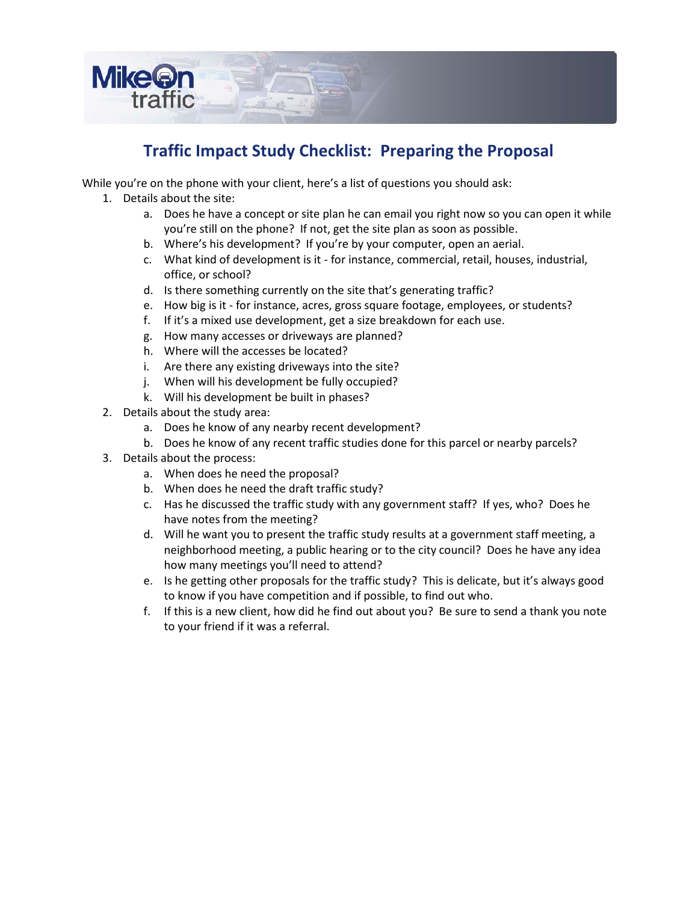

## **Traffic Impact Study Checklist: Preparing the Proposal**

While you're on the phone with your client, here's a list of questions you should ask:

- 1. Details about the site:
	- a. Does he have a concept or site plan he can email you right now so you can open it while you're still on the phone? If not, get the site plan as soon as possible.
	- b. Where's his development? If you're by your computer, open an aerial.
	- c. What kind of development is it for instance, commercial, retail, houses, industrial, office, or school?
	- d. Is there something currently on the site that's generating traffic?
	- e. How big is it for instance, acres, gross square footage, employees, or students?
	- f. If it's a mixed use development, get a size breakdown for each use.
	- g. How many accesses or driveways are planned?
	- h. Where will the accesses be located?
	- i. Are there any existing driveways into the site?
	- j. When will his development be fully occupied?
	- k. Will his development be built in phases?
- 2. Details about the study area:
	- a. Does he know of any nearby recent development?
	- b. Does he know of any recent traffic studies done for this parcel or nearby parcels?
- 3. Details about the process:
	- a. When does he need the proposal?
	- b. When does he need the draft traffic study?
	- c. Has he discussed the traffic study with any government staff? If yes, who? Does he have notes from the meeting?
	- d. Will he want you to present the traffic study results at a government staff meeting, a neighborhood meeting, a public hearing or to the city council? Does he have any idea how many meetings you'll need to attend?
	- e. Is he getting other proposals for the traffic study? This is delicate, but it's always good to know if you have competition and if possible, to find out who.
	- f. If this is a new client, how did he find out about you? Be sure to send a thank you note to your friend if it was a referral.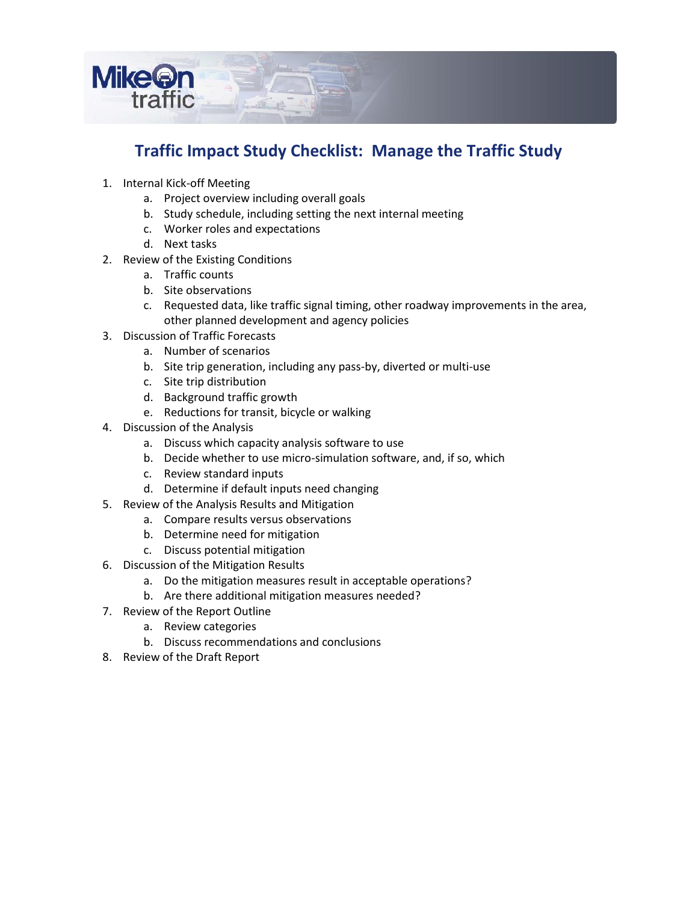

### **Traffic Impact Study Checklist: Manage the Traffic Study**

- 1. Internal Kick-off Meeting
	- a. Project overview including overall goals
	- b. Study schedule, including setting the next internal meeting
	- c. Worker roles and expectations
	- d. Next tasks
- 2. Review of the Existing Conditions
	- a. Traffic counts
	- b. Site observations
	- c. Requested data, like traffic signal timing, other roadway improvements in the area, other planned development and agency policies
- 3. Discussion of Traffic Forecasts
	- a. Number of scenarios
	- b. Site trip generation, including any pass-by, diverted or multi-use
	- c. Site trip distribution
	- d. Background traffic growth
	- e. Reductions for transit, bicycle or walking
- 4. Discussion of the Analysis
	- a. Discuss which capacity analysis software to use
	- b. Decide whether to use micro-simulation software, and, if so, which
	- c. Review standard inputs
	- d. Determine if default inputs need changing
- 5. Review of the Analysis Results and Mitigation
	- a. Compare results versus observations
		- b. Determine need for mitigation
		- c. Discuss potential mitigation
- 6. Discussion of the Mitigation Results
	- a. Do the mitigation measures result in acceptable operations?
	- b. Are there additional mitigation measures needed?
- 7. Review of the Report Outline
	- a. Review categories
	- b. Discuss recommendations and conclusions
- 8. Review of the Draft Report